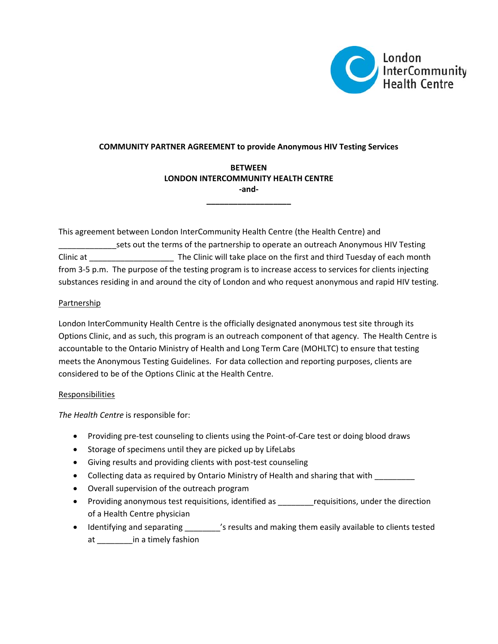

### **COMMUNITY PARTNER AGREEMENT to provide Anonymous HIV Testing Services**

# **BETWEEN LONDON INTERCOMMUNITY HEALTH CENTRE ‐and‐**

**\_\_\_\_\_\_\_\_\_\_\_\_\_\_\_\_\_\_\_**

This agreement between London InterCommunity Health Centre (the Health Centre) and \_\_\_\_\_\_\_\_\_\_\_\_\_sets out the terms of the partnership to operate an outreach Anonymous HIV Testing Clinic at \_\_\_\_\_\_\_\_\_\_\_\_\_\_\_\_\_\_\_ The Clinic will take place on the first and third Tuesday of each month from 3-5 p.m. The purpose of the testing program is to increase access to services for clients injecting substances residing in and around the city of London and who request anonymous and rapid HIV testing.

## Partnership

London InterCommunity Health Centre is the officially designated anonymous test site through its Options Clinic, and as such, this program is an outreach component of that agency. The Health Centre is accountable to the Ontario Ministry of Health and Long Term Care (MOHLTC) to ensure that testing meets the Anonymous Testing Guidelines. For data collection and reporting purposes, clients are considered to be of the Options Clinic at the Health Centre.

#### Responsibilities

*The Health Centre* is responsible for:

- Providing pre-test counseling to clients using the Point-of-Care test or doing blood draws
- Storage of specimens until they are picked up by LifeLabs
- Giving results and providing clients with post‐test counseling
- Collecting data as required by Ontario Ministry of Health and sharing that with
- Overall supervision of the outreach program
- Providing anonymous test requisitions, identified as early requisitions, under the direction of a Health Centre physician
- Identifying and separating \_\_\_\_\_\_\_\_'s results and making them easily available to clients tested at \_\_\_\_\_\_\_\_in a timely fashion